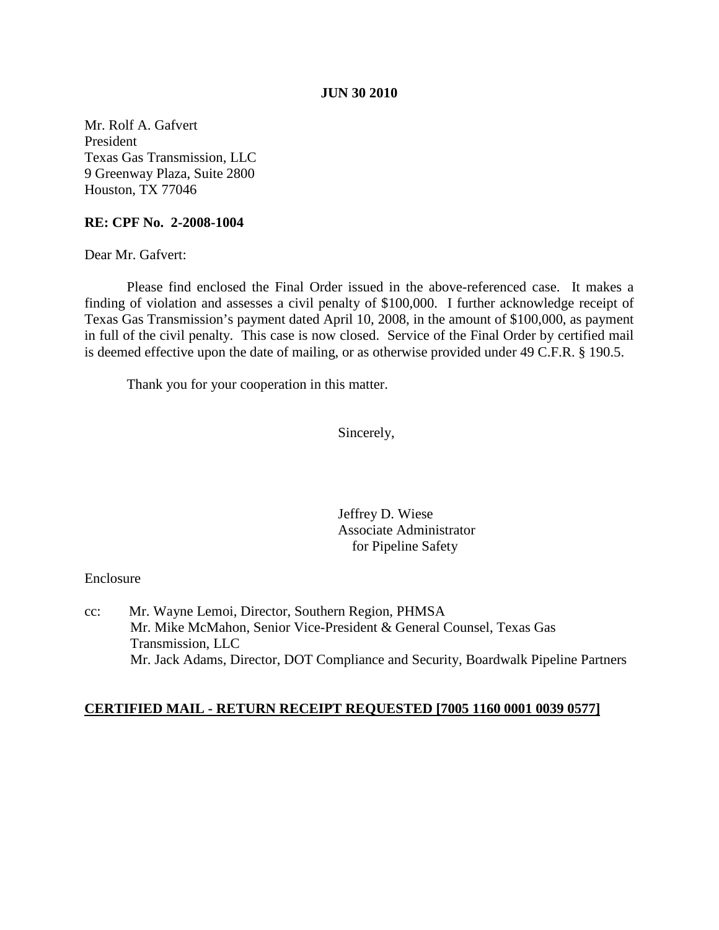### **JUN 30 2010**

Mr. Rolf A. Gafvert President Texas Gas Transmission, LLC 9 Greenway Plaza, Suite 2800 Houston, TX 77046

### **RE: CPF No. 2-2008-1004**

Dear Mr. Gafvert:

Please find enclosed the Final Order issued in the above-referenced case. It makes a finding of violation and assesses a civil penalty of \$100,000. I further acknowledge receipt of Texas Gas Transmission's payment dated April 10, 2008, in the amount of \$100,000, as payment in full of the civil penalty. This case is now closed. Service of the Final Order by certified mail is deemed effective upon the date of mailing, or as otherwise provided under 49 C.F.R. § 190.5.

Thank you for your cooperation in this matter.

Sincerely,

Jeffrey D. Wiese Associate Administrator for Pipeline Safety

### Enclosure

cc: Mr. Wayne Lemoi, Director, Southern Region, PHMSA Mr. Mike McMahon, Senior Vice-President & General Counsel, Texas Gas Transmission, LLC Mr. Jack Adams, Director, DOT Compliance and Security, Boardwalk Pipeline Partners

### **CERTIFIED MAIL - RETURN RECEIPT REQUESTED [7005 1160 0001 0039 0577]**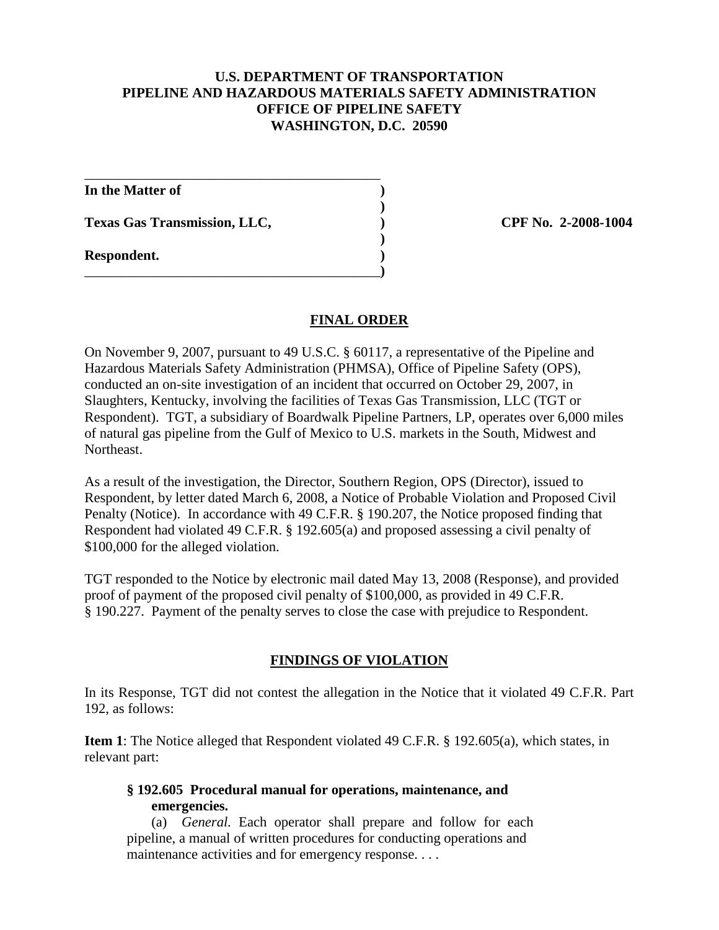# **U.S. DEPARTMENT OF TRANSPORTATION PIPELINE AND HAZARDOUS MATERIALS SAFETY ADMINISTRATION OFFICE OF PIPELINE SAFETY WASHINGTON, D.C. 20590**

\_\_\_\_\_\_\_\_\_\_\_\_\_\_\_\_\_\_\_\_\_\_\_\_\_\_\_\_\_\_\_\_\_\_\_\_\_\_\_\_\_\_ **In the Matter of ) ) Texas Gas Transmission, LLC, ) CPF No. 2-2008-1004 ) Respondent. )** \_\_\_\_\_\_\_\_\_\_\_\_\_\_\_\_\_\_\_\_\_\_\_\_\_\_\_\_\_\_\_\_\_\_\_\_\_\_\_\_\_\_**)**

# **FINAL ORDER**

On November 9, 2007, pursuant to 49 U.S.C. § 60117, a representative of the Pipeline and Hazardous Materials Safety Administration (PHMSA), Office of Pipeline Safety (OPS), conducted an on-site investigation of an incident that occurred on October 29, 2007, in Slaughters, Kentucky, involving the facilities of Texas Gas Transmission, LLC (TGT or Respondent). TGT, a subsidiary of Boardwalk Pipeline Partners, LP, operates over 6,000 miles of natural gas pipeline from the Gulf of Mexico to U.S. markets in the South, Midwest and Northeast.

As a result of the investigation, the Director, Southern Region, OPS (Director), issued to Respondent, by letter dated March 6, 2008, a Notice of Probable Violation and Proposed Civil Penalty (Notice). In accordance with 49 C.F.R. § 190.207, the Notice proposed finding that Respondent had violated 49 C.F.R. § 192.605(a) and proposed assessing a civil penalty of \$100,000 for the alleged violation.

TGT responded to the Notice by electronic mail dated May 13, 2008 (Response), and provided proof of payment of the proposed civil penalty of \$100,000, as provided in 49 C.F.R. § 190.227. Payment of the penalty serves to close the case with prejudice to Respondent.

# **FINDINGS OF VIOLATION**

In its Response, TGT did not contest the allegation in the Notice that it violated 49 C.F.R. Part 192, as follows:

**Item 1**: The Notice alleged that Respondent violated 49 C.F.R. § 192.605(a), which states, in relevant part:

**§ 192.605 Procedural manual for operations, maintenance, and emergencies.**

(a) *General.* Each operator shall prepare and follow for each pipeline, a manual of written procedures for conducting operations and maintenance activities and for emergency response....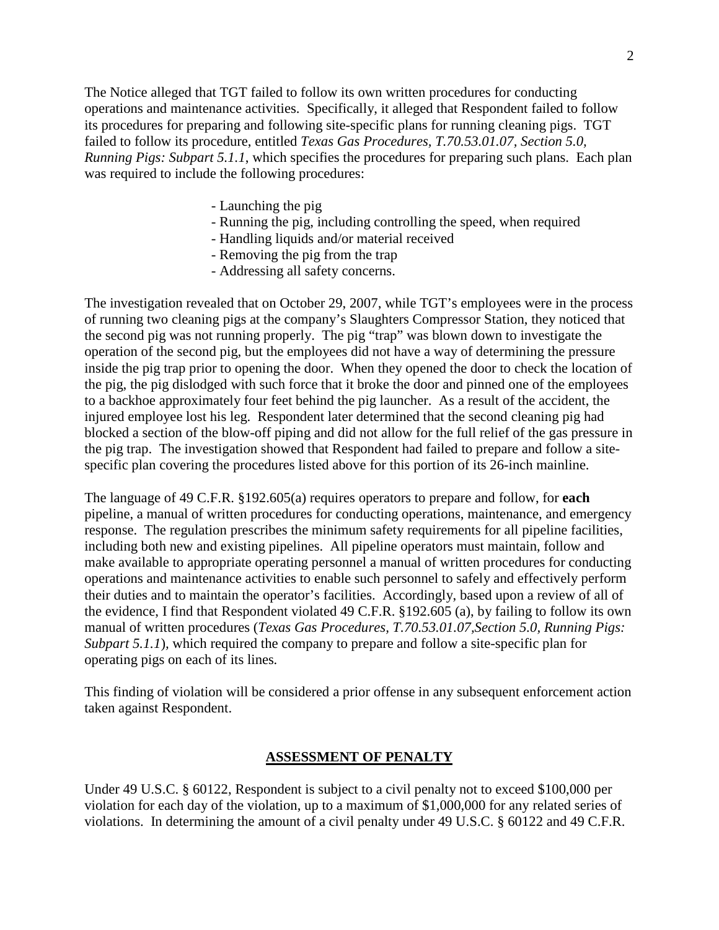The Notice alleged that TGT failed to follow its own written procedures for conducting operations and maintenance activities. Specifically, it alleged that Respondent failed to follow its procedures for preparing and following site-specific plans for running cleaning pigs. TGT failed to follow its procedure, entitled *Texas Gas Procedures, T.70.53.01.07, Section 5.0, Running Pigs: Subpart 5.1.1*, which specifies the procedures for preparing such plans. Each plan was required to include the following procedures:

- Launching the pig
- Running the pig, including controlling the speed, when required
- Handling liquids and/or material received
- Removing the pig from the trap
- Addressing all safety concerns.

The investigation revealed that on October 29, 2007, while TGT's employees were in the process of running two cleaning pigs at the company's Slaughters Compressor Station, they noticed that the second pig was not running properly. The pig "trap" was blown down to investigate the operation of the second pig, but the employees did not have a way of determining the pressure inside the pig trap prior to opening the door. When they opened the door to check the location of the pig, the pig dislodged with such force that it broke the door and pinned one of the employees to a backhoe approximately four feet behind the pig launcher. As a result of the accident, the injured employee lost his leg. Respondent later determined that the second cleaning pig had blocked a section of the blow-off piping and did not allow for the full relief of the gas pressure in the pig trap. The investigation showed that Respondent had failed to prepare and follow a sitespecific plan covering the procedures listed above for this portion of its 26-inch mainline.

The language of 49 C.F.R. §192.605(a) requires operators to prepare and follow, for **each** pipeline, a manual of written procedures for conducting operations, maintenance, and emergency response. The regulation prescribes the minimum safety requirements for all pipeline facilities, including both new and existing pipelines. All pipeline operators must maintain, follow and make available to appropriate operating personnel a manual of written procedures for conducting operations and maintenance activities to enable such personnel to safely and effectively perform their duties and to maintain the operator's facilities. Accordingly, based upon a review of all of the evidence, I find that Respondent violated 49 C.F.R. §192.605 (a), by failing to follow its own manual of written procedures (*Texas Gas Procedures, T.70.53.01.07,Section 5.0, Running Pigs: Subpart 5.1.1*)*,* which required the company to prepare and follow a site-specific plan for operating pigs on each of its lines*.*

This finding of violation will be considered a prior offense in any subsequent enforcement action taken against Respondent.

#### **ASSESSMENT OF PENALTY**

Under 49 U.S.C. § 60122, Respondent is subject to a civil penalty not to exceed \$100,000 per violation for each day of the violation, up to a maximum of \$1,000,000 for any related series of violations. In determining the amount of a civil penalty under 49 U.S.C. § 60122 and 49 C.F.R.